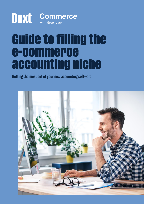# **DEXT** | Commerce

## **Guide to filling the e-commerce accounting niche**

Getting the most out of your new accounting software

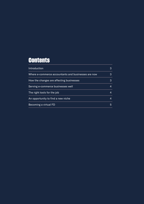### **Contents**

| Introduction                                        | 3 |
|-----------------------------------------------------|---|
| Where e-commerce accountants and businesses are now | 3 |
| How the changes are affecting businesses            | 3 |
| Serving e-commerce businesses well                  | 4 |
| The right tools for the job                         | 4 |
| An opportunity to find a new niche                  | 4 |
| Becoming a virtual FD                               | 5 |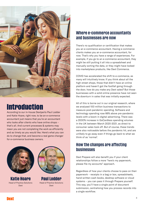<span id="page-2-0"></span>

## **Introduction**

According to our in-house Dextperts Paul Lodder and Katie Hoare, right now, to be an e-commerce accountant just means that you're an accountant who looks after clients who have online shops that's all. And current processes & systems may mean you are not completing the work as efficiently and as timely as you would like. Here's what you can do to change that, and become a real game changer for e-commerce business owners.



**Katie Hoare** Head of Practice Solutions Dext



**Paul Lodder** Head of Practice Solutions Dext

#### Where e-commerce accountants and businesses are now

There's no qualification or certification that makes you an e-commerce accountant. Having e-commerce clients makes you an e-commerce accountant, for now. That's why you have a range of experiences. For example, if you go to an e-commerce accountant, they might be still putting it all into a spreadsheet and manually sorting the data, or they might have looked into marketplace products, like Dext Commerce.

COVID has accelerated the shift to e-commerce, as many will intuitively know. If you think about all the high street shops, those that didn't have an online platform and haven't got the footfall going through the door, how do you make any Dext sales? But those businesses with a solid online presence have not seen the downturn in sales that was initially expected.

All of this is borne out in our original research, where we analysed 100 million business transactions to measure post-pandemic spending. Software and technology spending rose 66% above pre-pandemic levels with a boom in digital advertising. There was a 2000% increase in GoCardless spending volumes in the UK between March 2020-2021, as direct to consumer sales took off. But of course, these trends were also noticeable before the pandemic hit, and are unlikely to go away even if things go back to what we think of as 'normal'.

#### How the changes are affecting businesses

Dext Prepare will also benefit you if your client relationships follow a more "here's my paperwork, please file my accounts" approach.

Regardless of how your clients choose to pass on their paperwork – receipts in a bag or box, spreadsheets, hand-written cash books, desktop software or cloud systems – you can pass it through Prepare yourself. This way, you'll have a single point of document submission, centralising how you process records into a single workflow.

**Next**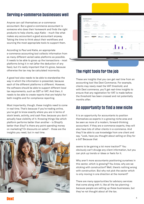#### <span id="page-3-0"></span>Serving e-commerce businesses well

Anyone can call themselves an e-commerce accountant. But a good e-commerce accountant is someone who does their homework and finds the right products to help clients, says Katie – much like what makes any accountant a good accountant anyway. Taking the time to think about their workflows and sourcing the most appropriate tools to support them.

According to Paul and Katie, an appropriate e-commerce accounting tool collects information from as many different varied sales platforms as possible. It needs to be able to gross up the transactions - most platforms bring it in net (after the deduction of any fees), but it's really important that it's gross, because otherwise the tax may be calculated incorrectly.

A good tool also needs to be able to standardise the way in which the information is presented, because each of the different platforms is different. However, the software should be able to support different local tax requirements, such as GST or VAT. And then, it needs to be able to create reports that are helpful for both insights and for compliance reporting.

Most importantly, though, these insights need to come in real time. That's because if you're trading online, you've got to know exactly where you are in terms of stock levels, activity, and cash flow, because you don't actually have visibility of it. Knowing things like which platform performs better than another - is Shopify better than Etsy? Is there any point spending money on marketing? Or discounts on sales? – those are the insights you need, but in real time.



| o           |                                                                                                                                            |                                                                                                                                                                    |                                                                                                                                                                                                                                                                                                                                                                                                                                                                                                                                                                                                                     |                              |                                                                                                                                       |                      |                                                |               |
|-------------|--------------------------------------------------------------------------------------------------------------------------------------------|--------------------------------------------------------------------------------------------------------------------------------------------------------------------|---------------------------------------------------------------------------------------------------------------------------------------------------------------------------------------------------------------------------------------------------------------------------------------------------------------------------------------------------------------------------------------------------------------------------------------------------------------------------------------------------------------------------------------------------------------------------------------------------------------------|------------------------------|---------------------------------------------------------------------------------------------------------------------------------------|----------------------|------------------------------------------------|---------------|
| ö           | Good afternoon, Ross                                                                                                                       |                                                                                                                                                                    |                                                                                                                                                                                                                                                                                                                                                                                                                                                                                                                                                                                                                     |                              |                                                                                                                                       |                      |                                                |               |
| ٠           | <b>Q</b> Wietshall                                                                                                                         | A Peachtrap were against prior of a trajer than that but of Tomas Bands.                                                                                           |                                                                                                                                                                                                                                                                                                                                                                                                                                                                                                                                                                                                                     |                              |                                                                                                                                       |                      |                                                |               |
| n<br>ö<br>è | 兰<br><b>Equativeness</b><br>between transition of termination<br>and it recent seems fire.<br>mining annual<br>interpretations in the con- | iO.<br>Next Hotels at Data?<br>The characteristic field in a given in the characteristic state of the control of the party<br>artist Hermit<br>Stand I can write 1 | $\circ$<br><b>Help Gross</b><br><b>Red of Fire and Instruction</b><br>$\label{eq:1} \begin{split} \text{subject to } \mathcal{C}(\mathcal{C}) = \mathcal{C}(\mathcal{C}) \times \mathcal{C}(\mathcal{C}) \times \mathcal{C}(\mathcal{C}) \times \mathcal{C}(\mathcal{C}) \times \mathcal{C}(\mathcal{C}) \times \mathcal{C}(\mathcal{C}) \times \mathcal{C}(\mathcal{C}) \times \mathcal{C}(\mathcal{C}) \times \mathcal{C}(\mathcal{C}) \times \mathcal{C}(\mathcal{C}) \times \mathcal{C}(\mathcal{C}) \times \mathcal{C}(\mathcal{C}) \times \mathcal{C}(\mathcal{C}) \times \mathcal{C}(\$<br><b>Standard I</b> |                              |                                                                                                                                       |                      |                                                |               |
| $\circ$     | Year Assounts<br><b>The hand 4 contracted accounts</b>                                                                                     |                                                                                                                                                                    |                                                                                                                                                                                                                                                                                                                                                                                                                                                                                                                                                                                                                     |                              |                                                                                                                                       |                      |                                                |               |
|             | workersbackstrakers.                                                                                                                       | kelk, Smithsteathstead ages                                                                                                                                        | <b>Ide belizzdrawizer</b>                                                                                                                                                                                                                                                                                                                                                                                                                                                                                                                                                                                           | calculated by the Calculated | Dent Dates on DR                                                                                                                      | <b>Case Sechings</b> |                                                |               |
|             | amazoncouk                                                                                                                                 | amazon                                                                                                                                                             | P PayPal                                                                                                                                                                                                                                                                                                                                                                                                                                                                                                                                                                                                            | P PayPal                     |                                                                                                                                       |                      |                                                |               |
|             |                                                                                                                                            |                                                                                                                                                                    |                                                                                                                                                                                                                                                                                                                                                                                                                                                                                                                                                                                                                     |                              | <b>VENTILE EXPERIENCE</b>                                                                                                             |                      |                                                |               |
|             | beautischapter on these cir-<br>$\frac{1}{2} \left( \frac{1}{2} \right) \left( \frac{1}{2} \right)$                                        |                                                                                                                                                                    |                                                                                                                                                                                                                                                                                                                                                                                                                                                                                                                                                                                                                     |                              |                                                                                                                                       |                      |                                                | <b>Wilson</b> |
|             | $\cdots$                                                                                                                                   |                                                                                                                                                                    |                                                                                                                                                                                                                                                                                                                                                                                                                                                                                                                                                                                                                     |                              |                                                                                                                                       |                      | <b>TANK</b><br><b>Shows</b>                    |               |
|             | $\sim$                                                                                                                                     |                                                                                                                                                                    |                                                                                                                                                                                                                                                                                                                                                                                                                                                                                                                                                                                                                     |                              |                                                                                                                                       |                      | <b>Rambin</b><br><b>Service And Controller</b> |               |
|             | $\rightarrow$<br>THE R                                                                                                                     | $\sim$                                                                                                                                                             | 24.36                                                                                                                                                                                                                                                                                                                                                                                                                                                                                                                                                                                                               | $-46 - 5$                    |                                                                                                                                       |                      | $\sim$                                         |               |
|             |                                                                                                                                            |                                                                                                                                                                    |                                                                                                                                                                                                                                                                                                                                                                                                                                                                                                                                                                                                                     |                              | <b>Recont Transactions</b><br>New Bridge deniers showed the product and success art convenient and concerns.<br>G text application of |                      |                                                |               |
|             |                                                                                                                                            |                                                                                                                                                                    |                                                                                                                                                                                                                                                                                                                                                                                                                                                                                                                                                                                                                     |                              |                                                                                                                                       |                      |                                                |               |

#### The right tools for the job

These are insights that you can get real time from an accounting tool like Dext Commerce. For example, clients may newly meet the VAT threshold, and with Dext commerce, you'll get real-time insights to ensure that any registration for VAT is made before the threshold has been crossed and not potentially months after.

#### An opportunity to find a new niche

It is an opportunity for accountants to position themselves as experts in a growing niche area and be seen as more of a modern, forward-thinking accountant. If they are e-commerce experts, they will also have lots of other clients in e-commerce. And they'll be able to use knowledge from one client and say, "Look, have you thought about selling on Etsy for a bit? Because that

seems to be gaining a lot more traction?" You obviously can't divulge any client information, but you can pick up trends or ideas or feels for it.

Why aren't more accountants positioning ourselves in this sector, which is growing? You know, why are we sticking with construction? Well, there's nothing wrong with construction. But why not pick the sector which is only moving in one direction at the moment?

There are many opportunities for advisory services that come along with it, like all the tax planning because people are setting up these businesses, but they've not thought about all the tax.